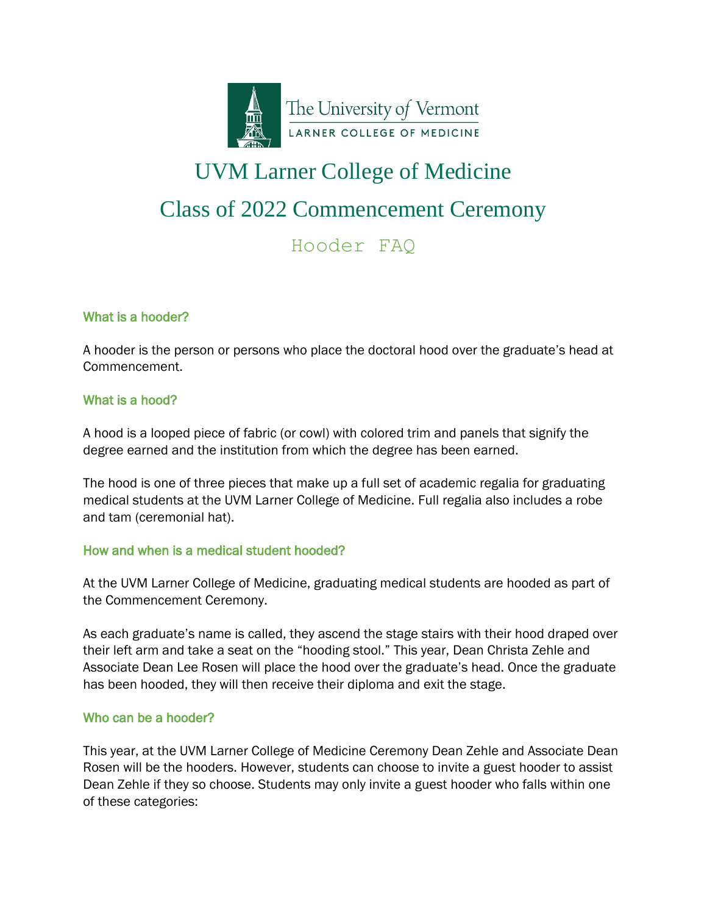

# UVM Larner College of Medicine Class of 2022 Commencement Ceremony

# Hooder FAQ

# What is a hooder?

A hooder is the person or persons who place the doctoral hood over the graduate's head at Commencement.

# What is a hood?

A hood is a looped piece of fabric (or cowl) with colored trim and panels that signify the degree earned and the institution from which the degree has been earned.

The hood is one of three pieces that make up a full set of academic regalia for graduating medical students at the UVM Larner College of Medicine. Full regalia also includes a robe and tam (ceremonial hat).

# How and when is a medical student hooded?

At the UVM Larner College of Medicine, graduating medical students are hooded as part of the Commencement Ceremony.

As each graduate's name is called, they ascend the stage stairs with their hood draped over their left arm and take a seat on the "hooding stool." This year, Dean Christa Zehle and Associate Dean Lee Rosen will place the hood over the graduate's head. Once the graduate has been hooded, they will then receive their diploma and exit the stage.

# Who can be a hooder?

This year, at the UVM Larner College of Medicine Ceremony Dean Zehle and Associate Dean Rosen will be the hooders. However, students can choose to invite a guest hooder to assist Dean Zehle if they so choose. Students may only invite a guest hooder who falls within one of these categories: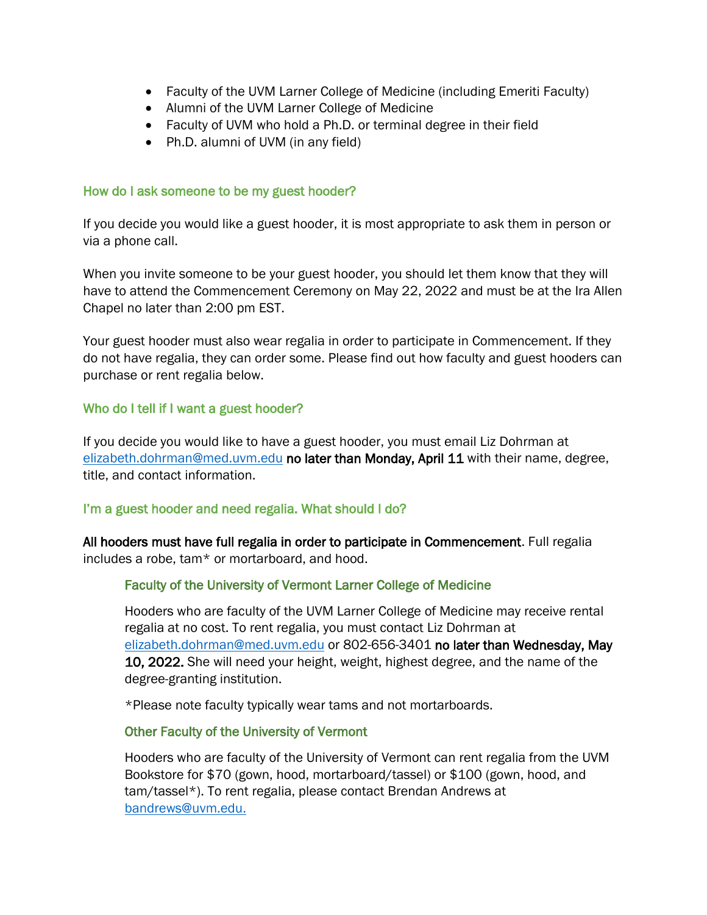- Faculty of the UVM Larner College of Medicine (including Emeriti Faculty)
- Alumni of the UVM Larner College of Medicine
- Faculty of UVM who hold a Ph.D. or terminal degree in their field
- Ph.D. alumni of UVM (in any field)

#### How do I ask someone to be my guest hooder?

If you decide you would like a guest hooder, it is most appropriate to ask them in person or via a phone call.

When you invite someone to be your guest hooder, you should let them know that they will have to attend the Commencement Ceremony on May 22, 2022 and must be at the Ira Allen Chapel no later than 2:00 pm EST.

Your guest hooder must also wear regalia in order to participate in Commencement. If they do not have regalia, they can order some. Please find out how faculty and guest hooders can purchase or rent regalia below.

#### Who do I tell if I want a guest hooder?

If you decide you would like to have a guest hooder, you must email Liz Dohrman at [elizabeth.dohrman@med.uvm.edu](mailto:elizabeth.dohrman@med.uvm.edu) no later than Monday, April 11 with their name, degree, title, and contact information.

# I'm a guest hooder and need regalia. What should I do?

All hooders must have full regalia in order to participate in Commencement. Full regalia includes a robe, tam\* or mortarboard, and hood.

# Faculty of the University of Vermont Larner College of Medicine

Hooders who are faculty of the UVM Larner College of Medicine may receive rental regalia at no cost. To rent regalia, you must contact Liz Dohrman at [elizabeth.dohrman@med.uvm.edu](mailto:elizabeth.dohrman@med.uvm.edu) or 802-656-3401 no later than Wednesday, May 10, 2022. She will need your height, weight, highest degree, and the name of the degree-granting institution.

\*Please note faculty typically wear tams and not mortarboards.

#### Other Faculty of the University of Vermont

Hooders who are faculty of the University of Vermont can rent regalia from the UVM Bookstore for \$70 (gown, hood, mortarboard/tassel) or \$100 (gown, hood, and tam/tassel\*). To rent regalia, please contact Brendan Andrews at [bandrews@uvm.edu.](mailto:bandrews@uvm.edu)